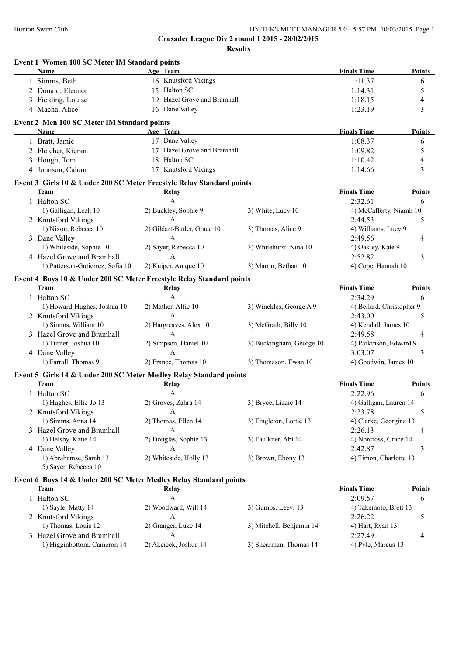| Name                                                                  | Age Team                    |                          | <b>Finals Time</b>        | Points        |
|-----------------------------------------------------------------------|-----------------------------|--------------------------|---------------------------|---------------|
| 1 Simms, Beth                                                         | 16 Knutsford Vikings        |                          | 1:11.37                   | 6             |
| 2 Donald, Eleanor                                                     | 15 Halton SC                |                          | 1:14.31                   | 5             |
| 3 Fielding, Louise                                                    | 19 Hazel Grove and Bramhall |                          | 1:18.15                   | 4             |
| 4 Macha, Alice                                                        | 16 Dane Valley              |                          | 1:23.19                   | 3             |
| Event 2 Men 100 SC Meter IM Standard points                           |                             |                          |                           |               |
| Name                                                                  | Age Team                    |                          | <b>Finals Time</b>        | <b>Points</b> |
| 1 Bratt, Jamie                                                        | 17 Dane Valley              |                          | 1:08.37                   | 6             |
| 2 Fletcher, Kieran                                                    | 17 Hazel Grove and Bramhall |                          | 1:09.82                   | 5             |
| 3 Hough, Tom                                                          | 18 Halton SC                |                          | 1:10.42                   | 4             |
| 4 Johnson, Calum                                                      | 17 Knutsford Vikings        |                          | 1:14.66                   | 3             |
| Event 3 Girls 10 & Under 200 SC Meter Freestyle Relay Standard points |                             |                          |                           |               |
| <b>Team</b>                                                           | <b>Relay</b>                |                          | <b>Finals Time</b>        | Points        |
| 1 Halton SC                                                           | $\mathbf{A}$                |                          | 2:32.61                   | 6             |
| 1) Galligan, Leah 10                                                  | 2) Buckley, Sophie 9        | 3) White, Lucy 10        | 4) McCafferty, Niamh 10   |               |
| 2 Knutsford Vikings                                                   | $\mathbf{A}$                |                          | 2:44.53                   | 5             |
| 1) Nixon, Rebecca 10                                                  | 2) Gildart-Butler, Grace 10 | 3) Thomas, Alice 9       | 4) Williams, Lucy 9       |               |
| 3 Dane Valley                                                         | A                           |                          | 2:49.56                   | 4             |
| 1) Whiteside, Sophie 10                                               | 2) Sayer, Rebecca 10        | 3) Whitehurst, Nina 10   | 4) Oakley, Kate 9         |               |
| 4 Hazel Grove and Bramhall                                            | $\mathbf{A}$                |                          | 2:52.82                   | 3             |
| 1) Patterson-Gutierrez, Sofia 10                                      | 2) Kuiper, Anique 10        | 3) Martin, Bethan 10     | 4) Cope, Hannah 10        |               |
| Event 4 Boys 10 & Under 200 SC Meter Freestyle Relay Standard points  |                             |                          |                           |               |
| Team                                                                  | Relay                       |                          | <b>Finals Time</b>        | Points        |
| 1 Halton SC                                                           | $\mathbf{A}$                |                          | 2:34.29                   | 6             |
| 1) Howard-Hughes, Joshua 10                                           | 2) Mather, Alfie 10         | 3) Winckles, George A 9  | 4) Bellard, Christopher 9 |               |
| 2 Knutsford Vikings                                                   | $\mathsf{A}$                |                          | 2:43.00                   | 5             |
| 1) Simms, William 10                                                  | 2) Hargreaves, Alex 10      | 3) McGrath, Billy 10     | 4) Kendall, James 10      |               |
| 3 Hazel Grove and Bramhall                                            | $\mathsf{A}$                |                          | 2:49.58                   | 4             |
| 1) Turner, Joshua 10                                                  | 2) Simpson, Daniel 10       | 3) Buckingham, George 10 | 4) Parkinson, Edward 9    |               |
| 4 Dane Valley                                                         | $\mathsf{A}$                |                          | 3:03.07                   | 3             |
| 1) Farrall, Thomas 9                                                  | 2) France, Thomas 10        | 3) Thomason, Ewan 10     | 4) Goodwin, James 10      |               |
| Event 5 Girls 14 & Under 200 SC Meter Medley Relay Standard points    |                             |                          |                           |               |
| <b>Team</b>                                                           | Relay                       |                          | <b>Finals Time</b>        | Points        |
| 1 Halton SC                                                           | A                           |                          | 2:22.96                   | 6             |
| 1) Hughes, Ellie-Jo 13                                                | 2) Groves, Zahra 14         | 3) Bryce, Lizzie 14      | 4) Galligan, Lauren 14    |               |
| 2 Knutsford Vikings                                                   | A                           |                          | 2:23.78                   | 5             |
| 1) Simms, Anna 14                                                     | 2) Thomas, Ellen 14         | 3) Fingleton, Lottie 13  | 4) Clarke, Georgina 13    |               |
| 3 Hazel Grove and Bramhall                                            | A                           |                          | 2:26.13                   | 4             |
| 1) Helsby, Katie 14                                                   | 2) Douglas, Sophie 13       | 3) Faulkner, Abi 14      | 4) Norcross, Grace 14     |               |
| 4 Dane Valley                                                         | A                           |                          | 2:42.87                   | 3             |
| 1) Abrahamse, Sarah 13                                                | 2) Whiteside, Holly 13      | 3) Brown, Ebony 13       | 4) Timon, Charlotte 13    |               |
| 5) Sayer, Rebecca 10                                                  |                             |                          |                           |               |
| Event 6 Boys 14 & Under 200 SC Meter Medley Relay Standard points     |                             |                          |                           |               |
| <b>Team</b>                                                           | Relay                       |                          | <b>Finals Time</b>        | <b>Points</b> |
| 1 Halton SC                                                           | A                           |                          | 2:09.57                   | 6             |
| 1) Sayle, Matty 14                                                    | 2) Woodward, Will 14        | 3) Gumbs, Leevi 13       | 4) Takemoto, Brett 13     |               |
|                                                                       | $\mathbf{A}$                |                          | 2:26.22                   | 5             |
| 2 Knutsford Vikings                                                   |                             |                          |                           |               |
| 1) Thomas, Louis 12                                                   | 2) Granger, Luke 14         | 3) Mitchell, Benjamin 14 | 4) Hart, Ryan 13          |               |
| 3 Hazel Grove and Bramhall                                            | A                           |                          | 2:27.49                   | 4             |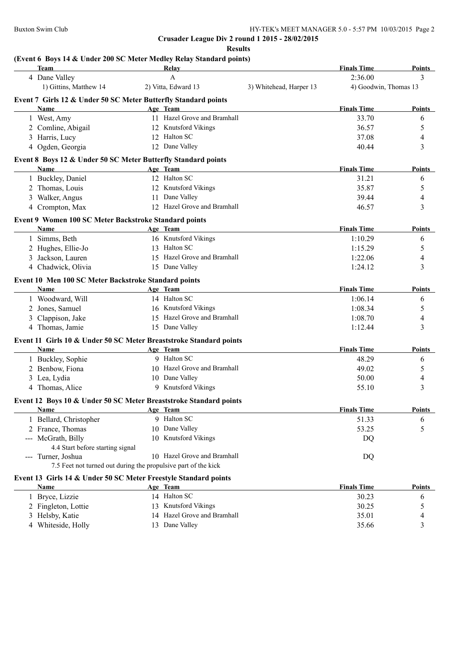4 Whiteside, Holly

**Crusader League Div 2 round 1 2015 - 28/02/2015**

**Results**

## **(Event 6 Boys 14 & Under 200 SC Meter Medley Relay Standard points)**

| Team                                                               | Relay                       |                         | <b>Finals Time</b>    | Points        |
|--------------------------------------------------------------------|-----------------------------|-------------------------|-----------------------|---------------|
| 4 Dane Valley                                                      | A                           |                         | 2:36.00               | 3             |
| 1) Gittins, Matthew 14                                             | 2) Vitta, Edward 13         | 3) Whitehead, Harper 13 | 4) Goodwin, Thomas 13 |               |
| Event 7 Girls 12 & Under 50 SC Meter Butterfly Standard points     |                             |                         |                       |               |
| Name                                                               | Age Team                    |                         | <b>Finals Time</b>    | Points        |
| 1 West, Amy                                                        | 11 Hazel Grove and Bramhall |                         | 33.70                 | 6             |
| 2 Comline, Abigail                                                 | 12 Knutsford Vikings        |                         | 36.57                 | 5             |
| 3 Harris, Lucy                                                     | 12 Halton SC                |                         | 37.08                 | 4             |
| 4 Ogden, Georgia                                                   | 12 Dane Valley              |                         | 40.44                 | 3             |
| Event 8 Boys 12 & Under 50 SC Meter Butterfly Standard points      |                             |                         |                       |               |
| <b>Name</b>                                                        | Age Team                    |                         | <b>Finals Time</b>    | Points        |
| 1 Buckley, Daniel                                                  | 12 Halton SC                |                         | 31.21                 | 6             |
| 2 Thomas, Louis                                                    | 12 Knutsford Vikings        |                         | 35.87                 | 5             |
| 3 Walker, Angus                                                    | 11 Dane Valley              |                         | 39.44                 | 4             |
| 4 Crompton, Max                                                    | 12 Hazel Grove and Bramhall |                         | 46.57                 | 3             |
| Event 9 Women 100 SC Meter Backstroke Standard points              |                             |                         |                       |               |
| Name                                                               | Age Team                    |                         | <b>Finals Time</b>    | <b>Points</b> |
| 1 Simms, Beth                                                      | 16 Knutsford Vikings        |                         | 1:10.29               | 6             |
| 2 Hughes, Ellie-Jo                                                 | 13 Halton SC                |                         | 1:15.29               | 5             |
| 3 Jackson, Lauren                                                  | 15 Hazel Grove and Bramhall |                         | 1:22.06               | 4             |
| 4 Chadwick, Olivia                                                 | 15 Dane Valley              |                         | 1:24.12               | 3             |
| Event 10 Men 100 SC Meter Backstroke Standard points               |                             |                         |                       |               |
| <b>Name</b>                                                        | Age Team                    |                         | <b>Finals Time</b>    | <b>Points</b> |
| 1 Woodward, Will                                                   | 14 Halton SC                |                         | 1:06.14               | 6             |
| 2 Jones, Samuel                                                    | 16 Knutsford Vikings        |                         | 1:08.34               | 5             |
| 3 Clappison, Jake                                                  | 15 Hazel Grove and Bramhall |                         | 1:08.70               | 4             |
| 4 Thomas, Jamie                                                    | 15 Dane Valley              |                         | 1:12.44               | 3             |
| Event 11 Girls 10 & Under 50 SC Meter Breaststroke Standard points |                             |                         |                       |               |
| Name                                                               | Age Team                    |                         | <b>Finals Time</b>    | Points        |
| 1 Buckley, Sophie                                                  | 9 Halton SC                 |                         | 48.29                 | 6             |
| 2 Benbow, Fiona                                                    | 10 Hazel Grove and Bramhall |                         | 49.02                 | 5             |
| 3 Lea, Lydia                                                       | 10 Dane Valley              |                         | 50.00                 | 4             |
| 4 Thomas, Alice                                                    | 9 Knutsford Vikings         |                         | 55.10                 | 3             |
| Event 12 Boys 10 & Under 50 SC Meter Breaststroke Standard points  |                             |                         |                       |               |
| Name                                                               | Age Team                    |                         | <b>Finals Time</b>    | Points        |
| 1 Bellard, Christopher                                             | 9 Halton SC                 |                         | 51.33                 | 6             |
| 2 France, Thomas                                                   | 10 Dane Valley              |                         | 53.25                 | 5             |
| --- McGrath, Billy                                                 | 10 Knutsford Vikings        |                         | DQ                    |               |
| 4.4 Start before starting signal                                   |                             |                         |                       |               |
| --- Turner, Joshua                                                 | 10 Hazel Grove and Bramhall |                         | DQ                    |               |
| 7.5 Feet not turned out during the propulsive part of the kick     |                             |                         |                       |               |
| Event 13 Girls 14 & Under 50 SC Meter Freestyle Standard points    |                             |                         |                       |               |
| Name                                                               | Age Team                    |                         | <b>Finals Time</b>    | <b>Points</b> |
| 1 Bryce, Lizzie                                                    | 14 Halton SC                |                         | 30.23                 | 6             |
| 2 Fingleton, Lottie                                                | 13 Knutsford Vikings        |                         | 30.25                 | 5             |

3 Helsby, Katie 14 Hazel Grove and Bramhall 35.01 4<br>4 Whiteside, Holly 13 Dane Valley 35.66 3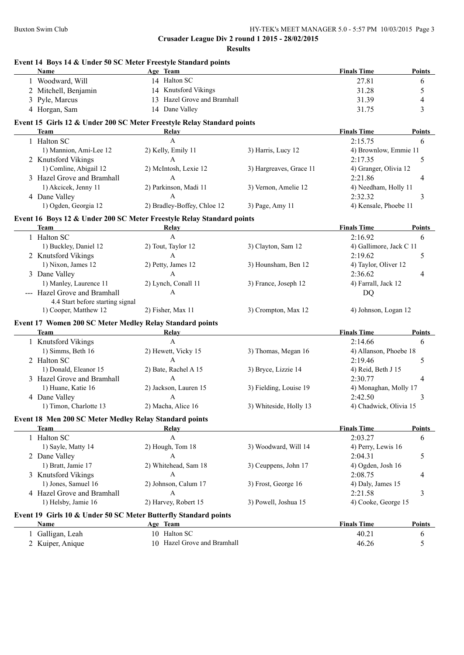|   | <b>Name</b>                                                           | Event 14 Boys 14 & Under 50 SC Meter Freestyle Standard points<br>Age Team     |                         | <b>Finals Time</b>          | <b>Points</b>                |
|---|-----------------------------------------------------------------------|--------------------------------------------------------------------------------|-------------------------|-----------------------------|------------------------------|
|   | 1 Woodward, Will                                                      | 14 Halton SC                                                                   |                         | 27.81                       | 6                            |
|   | 2 Mitchell, Benjamin                                                  | 14 Knutsford Vikings                                                           |                         | 31.28                       | 5                            |
| 3 | Pyle, Marcus                                                          | 13 Hazel Grove and Bramhall                                                    |                         | 31.39                       | $\overline{4}$               |
|   | 4 Horgan, Sam                                                         | 14 Dane Valley                                                                 |                         | 31.75                       | 3                            |
|   |                                                                       | Event 15 Girls 12 & Under 200 SC Meter Freestyle Relay Standard points         |                         |                             |                              |
|   | <b>Team</b>                                                           | Relay                                                                          |                         | <b>Finals Time</b>          | Points                       |
|   | 1 Halton SC                                                           | $\mathbf{A}$                                                                   |                         | 2:15.75                     | 6                            |
|   | 1) Mannion, Ami-Lee 12                                                | 2) Kelly, Emily 11                                                             | 3) Harris, Lucy 12      | 4) Brownlow, Emmie 11       |                              |
|   | 2 Knutsford Vikings                                                   | A                                                                              |                         | 2:17.35                     | 5                            |
|   | 1) Comline, Abigail 12                                                | 2) McIntosh, Lexie 12                                                          | 3) Hargreaves, Grace 11 | 4) Granger, Olivia 12       |                              |
|   | 3 Hazel Grove and Bramhall                                            | $\mathbf{A}$                                                                   |                         | 2:21.86                     | 4                            |
|   | 1) Akcicek, Jenny 11                                                  | 2) Parkinson, Madi 11                                                          | 3) Vernon, Amelie 12    | 4) Needham, Holly 11        |                              |
|   | 4 Dane Valley                                                         | $\mathbf{A}$                                                                   |                         | 2:32.32                     | 3                            |
|   | 1) Ogden, Georgia 12                                                  | 2) Bradley-Boffey, Chloe 12                                                    | 3) Page, Amy 11         | 4) Kensale, Phoebe 11       |                              |
|   |                                                                       |                                                                                |                         |                             |                              |
|   | Team                                                                  | Event 16 Boys 12 & Under 200 SC Meter Freestyle Relay Standard points<br>Relay |                         | <b>Finals Time</b>          | <b>Points</b>                |
|   | 1 Halton SC                                                           | A                                                                              |                         | 2:16.92                     | 6                            |
|   | 1) Buckley, Daniel 12                                                 | 2) Tout, Taylor 12                                                             | 3) Clayton, Sam 12      | 4) Gallimore, Jack C 11     |                              |
|   | 2 Knutsford Vikings                                                   | A                                                                              |                         | 2:19.62                     | 5                            |
|   | 1) Nixon, James 12                                                    | 2) Petty, James 12                                                             | 3) Hounsham, Ben 12     | 4) Taylor, Oliver 12        |                              |
|   | 3 Dane Valley                                                         | A                                                                              |                         | 2:36.62                     | 4                            |
|   | 1) Manley, Laurence 11                                                | 2) Lynch, Conall 11                                                            | 3) France, Joseph 12    | 4) Farrall, Jack 12         |                              |
|   | --- Hazel Grove and Bramhall                                          | A                                                                              |                         | DQ                          |                              |
|   | 4.4 Start before starting signal                                      |                                                                                |                         |                             |                              |
|   | 1) Cooper, Matthew 12                                                 | 2) Fisher, Max 11                                                              | 3) Crompton, Max 12     | 4) Johnson, Logan 12        |                              |
|   | Event 17 Women 200 SC Meter Medley Relay Standard points              |                                                                                |                         |                             |                              |
|   | <b>Team</b>                                                           | Relay                                                                          |                         | <b>Finals Time</b>          | Points                       |
|   | 1 Knutsford Vikings                                                   | $\mathbf{A}$                                                                   |                         | 2:14.66                     | 6                            |
|   | 1) Simms, Beth 16                                                     | 2) Hewett, Vicky 15                                                            | 3) Thomas, Megan 16     | 4) Allanson, Phoebe 18      |                              |
|   | 2 Halton SC                                                           | $\mathbf{A}$                                                                   |                         | 2:19.46                     | 5                            |
|   | 1) Donald, Eleanor 15                                                 | 2) Bate, Rachel A 15                                                           | 3) Bryce, Lizzie 14     | 4) Reid, Beth J 15          |                              |
|   |                                                                       |                                                                                |                         |                             |                              |
|   |                                                                       | $\mathbf{A}$                                                                   |                         |                             |                              |
|   | 3 Hazel Grove and Bramhall                                            |                                                                                |                         | 2:30.77                     | 4                            |
|   | 1) Huane, Katie 16                                                    | 2) Jackson, Lauren 15                                                          | 3) Fielding, Louise 19  | 4) Monaghan, Molly 17       |                              |
|   | 4 Dane Valley<br>1) Timon, Charlotte 13                               | A<br>2) Macha, Alice 16                                                        |                         | 2:42.50                     | 3                            |
|   |                                                                       |                                                                                | 3) Whiteside, Holly 13  | 4) Chadwick, Olivia 15      |                              |
|   | Event 18 Men 200 SC Meter Medley Relay Standard points<br><b>Team</b> |                                                                                |                         |                             |                              |
|   |                                                                       | Relay<br>A                                                                     |                         | <b>Finals Time</b>          | 6                            |
|   | 1 Halton SC                                                           |                                                                                |                         | 2:03.27                     |                              |
|   | 1) Sayle, Matty 14                                                    | 2) Hough, Tom 18                                                               | 3) Woodward, Will 14    | 4) Perry, Lewis 16          |                              |
|   | 2 Dane Valley                                                         | A                                                                              |                         | 2:04.31                     | 5                            |
|   | 1) Bratt, Jamie 17                                                    | 2) Whitehead, Sam 18                                                           | 3) Ceuppens, John 17    | 4) Ogden, Josh 16           |                              |
|   | 3 Knutsford Vikings                                                   | A                                                                              |                         | 2:08.75                     | 4                            |
|   | 1) Jones, Samuel 16                                                   | 2) Johnson, Calum 17                                                           | 3) Frost, George 16     | 4) Daly, James 15           |                              |
|   | 4 Hazel Grove and Bramhall                                            | A                                                                              | 3) Powell, Joshua 15    | 2:21.58                     | 3                            |
|   | 1) Helsby, Jamie 16                                                   | 2) Harvey, Robert 15                                                           |                         | 4) Cooke, George 15         |                              |
|   |                                                                       | Event 19 Girls 10 & Under 50 SC Meter Butterfly Standard points                |                         |                             |                              |
|   | <b>Name</b><br>Galligan, Leah                                         | Age Team<br>10 Halton SC                                                       |                         | <b>Finals Time</b><br>40.21 | Points<br><b>Points</b><br>6 |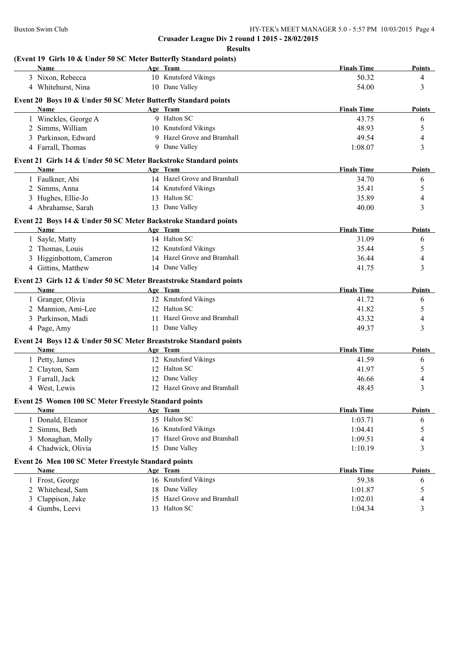| Name                                                                    | Age Team                    | <b>Finals Time</b> | <b>Points</b>  |
|-------------------------------------------------------------------------|-----------------------------|--------------------|----------------|
| 3 Nixon, Rebecca                                                        | 10 Knutsford Vikings        | 50.32              | 4              |
| 4 Whitehurst, Nina                                                      | 10 Dane Valley              | 54.00              | 3              |
| Event 20 Boys 10 & Under 50 SC Meter Butterfly Standard points          |                             |                    |                |
| Name                                                                    | Age Team                    | <b>Finals Time</b> | <b>Points</b>  |
| 1 Winckles, George A                                                    | 9 Halton SC                 | 43.75              | 6              |
| 2 Simms, William                                                        | 10 Knutsford Vikings        | 48.93              | 5              |
| 3 Parkinson, Edward                                                     | 9 Hazel Grove and Bramhall  | 49.54              | 4              |
| 4 Farrall, Thomas                                                       | 9 Dane Valley               | 1:08.07            | 3              |
| Event 21 Girls 14 & Under 50 SC Meter Backstroke Standard points        |                             |                    |                |
| <b>Name</b>                                                             | Age Team                    | <b>Finals Time</b> | <b>Points</b>  |
| 1 Faulkner, Abi                                                         | 14 Hazel Grove and Bramhall | 34.70              | 6              |
| 2 Simms, Anna                                                           | 14 Knutsford Vikings        | 35.41              | 5              |
| 3 Hughes, Ellie-Jo                                                      | 13 Halton SC                | 35.89              | 4              |
| 4 Abrahamse, Sarah                                                      | 13 Dane Valley              | 40.00              | 3              |
|                                                                         |                             |                    |                |
| Event 22 Boys 14 & Under 50 SC Meter Backstroke Standard points<br>Name | Age Team                    | <b>Finals Time</b> | <b>Points</b>  |
| 1 Sayle, Matty                                                          | 14 Halton SC                | 31.09              |                |
| 2 Thomas, Louis                                                         | 12 Knutsford Vikings        | 35.44              | 6<br>5         |
| 3 Higginbottom, Cameron                                                 | 14 Hazel Grove and Bramhall | 36.44              | 4              |
| 4 Gittins, Matthew                                                      | 14 Dane Valley              | 41.75              | 3              |
|                                                                         |                             |                    |                |
| Event 23 Girls 12 & Under 50 SC Meter Breaststroke Standard points      |                             |                    |                |
| Name                                                                    | Age Team                    | <b>Finals Time</b> | <b>Points</b>  |
| 1 Granger, Olivia                                                       | 12 Knutsford Vikings        | 41.72              | 6              |
| 2 Mannion, Ami-Lee                                                      | 12 Halton SC                | 41.82              | 5              |
| 3 Parkinson, Madi                                                       | 11 Hazel Grove and Bramhall | 43.32              | $\overline{4}$ |
| 4 Page, Amy                                                             | 11 Dane Valley              | 49.37              | 3              |
| Event 24 Boys 12 & Under 50 SC Meter Breaststroke Standard points       |                             |                    |                |
| Name                                                                    | Age Team                    | <b>Finals Time</b> | <b>Points</b>  |
| 1 Petty, James                                                          | 12 Knutsford Vikings        | 41.59              | 6              |
| 2 Clayton, Sam                                                          | 12 Halton SC                | 41.97              | 5              |
| 3 Farrall, Jack                                                         | 12 Dane Valley              | 46.66              | 4              |
| 4 West, Lewis                                                           | 12 Hazel Grove and Bramhall | 48.45              | 3              |
| Event 25 Women 100 SC Meter Freestyle Standard points                   |                             |                    |                |
| <b>Name</b>                                                             | Age Team                    | <b>Finals Time</b> | <b>Points</b>  |
| 1 Donald, Eleanor                                                       | 15 Halton SC                | 1:03.71            | 6              |
| 2 Simms, Beth                                                           | 16 Knutsford Vikings        | 1:04.41            | 5              |
| 3 Monaghan, Molly                                                       | 17 Hazel Grove and Bramhall | 1:09.51            | 4              |
| 4 Chadwick, Olivia                                                      | 15 Dane Valley              | 1:10.19            | 3              |
| Event 26 Men 100 SC Meter Freestyle Standard points                     |                             |                    |                |
| <b>Name</b>                                                             | Age Team                    | <b>Finals Time</b> | <b>Points</b>  |
| 1 Frost, George                                                         | 16 Knutsford Vikings        | 59.38              | 6              |
| 2 Whitehead, Sam                                                        | 18 Dane Valley              | 1:01.87            | 5              |
| 3 Clappison, Jake                                                       | 15 Hazel Grove and Bramhall | 1:02.01            | 4              |
|                                                                         |                             |                    | 3              |
| 4 Gumbs, Leevi                                                          | 13 Halton SC                | 1:04.34            |                |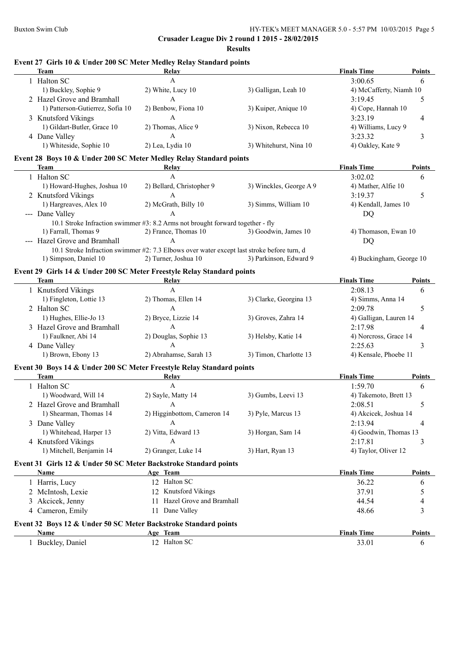**Results**

| <b>Team</b>                      | Relay                                                                                      |                                                                                           | <b>Finals Time</b>       | Points        |
|----------------------------------|--------------------------------------------------------------------------------------------|-------------------------------------------------------------------------------------------|--------------------------|---------------|
| 1 Halton SC                      | $\mathbf{A}$                                                                               |                                                                                           | 3:00.65                  | 6             |
| 1) Buckley, Sophie 9             | 2) White, Lucy 10                                                                          | 3) Galligan, Leah 10                                                                      | 4) McCafferty, Niamh 10  |               |
| 2 Hazel Grove and Bramhall       | $\mathbf{A}$                                                                               |                                                                                           | 3:19.45                  | 5             |
| 1) Patterson-Gutierrez, Sofia 10 | 2) Benbow, Fiona 10                                                                        | 3) Kuiper, Anique 10                                                                      | 4) Cope, Hannah 10       |               |
| 3 Knutsford Vikings              | $\mathbf{A}$                                                                               |                                                                                           | 3:23.19                  | 4             |
| 1) Gildart-Butler, Grace 10      | 2) Thomas, Alice 9                                                                         | 3) Nixon, Rebecca 10                                                                      | 4) Williams, Lucy 9      |               |
| 4 Dane Valley                    | $\mathbf{A}$                                                                               |                                                                                           | 3:23.32                  | 3             |
| 1) Whiteside, Sophie 10          | 2) Lea, Lydia 10                                                                           | 3) Whitehurst, Nina 10                                                                    | 4) Oakley, Kate 9        |               |
|                                  | Event 28 Boys 10 & Under 200 SC Meter Medley Relay Standard points                         |                                                                                           |                          |               |
| <b>Team</b>                      | Relay                                                                                      |                                                                                           | <b>Finals Time</b>       | Points        |
| 1 Halton SC                      | A                                                                                          |                                                                                           | 3:02.02                  | 6             |
| 1) Howard-Hughes, Joshua 10      | 2) Bellard, Christopher 9                                                                  | 3) Winckles, George A 9                                                                   | 4) Mather, Alfie 10      |               |
| 2 Knutsford Vikings              | A                                                                                          |                                                                                           | 3:19.37                  | 5             |
| 1) Hargreaves, Alex 10           | 2) McGrath, Billy 10                                                                       | 3) Simms, William 10                                                                      | 4) Kendall, James 10     |               |
| --- Dane Valley                  | $\mathsf{A}$                                                                               |                                                                                           | DQ                       |               |
|                                  | 10.1 Stroke Infraction swimmer #3: 8.2 Arms not brought forward together - fly             |                                                                                           |                          |               |
| 1) Farrall, Thomas 9             | 2) France, Thomas 10                                                                       | 3) Goodwin, James 10                                                                      | 4) Thomason, Ewan 10     |               |
| --- Hazel Grove and Bramhall     | A                                                                                          |                                                                                           | DQ                       |               |
|                                  | 10.1 Stroke Infraction swimmer #2: 7.3 Elbows over water except last stroke before turn, d |                                                                                           |                          |               |
| 1) Simpson, Daniel 10            | 2) Turner, Joshua 10                                                                       | 3) Parkinson, Edward 9                                                                    | 4) Buckingham, George 10 |               |
|                                  | Event 29 Girls 14 & Under 200 SC Meter Freestyle Relay Standard points                     |                                                                                           |                          |               |
| Team                             | Relay                                                                                      |                                                                                           | <b>Finals Time</b>       | Points        |
| 1 Knutsford Vikings              | A                                                                                          |                                                                                           | 2:08.13                  | 6             |
| 1) Fingleton, Lottie 13          | 2) Thomas, Ellen 14                                                                        | 3) Clarke, Georgina 13                                                                    | 4) Simms, Anna 14        |               |
| 2 Halton SC                      | A                                                                                          |                                                                                           | 2:09.78                  | 5             |
| 1) Hughes, Ellie-Jo 13           | 2) Bryce, Lizzie 14                                                                        | 3) Groves, Zahra 14                                                                       | 4) Galligan, Lauren 14   |               |
| 3 Hazel Grove and Bramhall       | A                                                                                          |                                                                                           | 2:17.98                  | 4             |
|                                  | 2) Douglas, Sophie 13                                                                      |                                                                                           | 4) Norcross, Grace 14    |               |
| 1) Faulkner, Abi 14              | A                                                                                          | 3) Helsby, Katie 14                                                                       |                          |               |
| 4 Dane Valley                    |                                                                                            |                                                                                           | 2:25.63                  | 3             |
| 1) Brown, Ebony 13               | 2) Abrahamse, Sarah 13                                                                     | 3) Timon, Charlotte 13                                                                    | 4) Kensale, Phoebe 11    |               |
|                                  | Event 30 Boys 14 & Under 200 SC Meter Freestyle Relay Standard points                      |                                                                                           |                          |               |
| <b>Team</b>                      | <b>Relay</b>                                                                               | the control of the control of the control of the control of the control of the control of | <b>Finals Time</b>       | <b>Points</b> |
| 1 Halton SC                      | $\mathbf{A}$                                                                               |                                                                                           | 1:59.70                  | 6             |
| 1) Woodward, Will 14             | 2) Sayle, Matty 14                                                                         | 3) Gumbs, Leevi 13                                                                        | 4) Takemoto, Brett 13    |               |
| 2 Hazel Grove and Bramhall       | $\mathbf{A}$                                                                               |                                                                                           | 2:08.51                  | 5             |
| 1) Shearman, Thomas 14           | 2) Higginbottom, Cameron 14                                                                | 3) Pyle, Marcus 13                                                                        | 4) Akcicek, Joshua 14    |               |
| 3 Dane Valley                    | A                                                                                          |                                                                                           | 2:13.94                  | 4             |
| 1) Whitehead, Harper 13          | 2) Vitta, Edward 13                                                                        | 3) Horgan, Sam 14                                                                         | 4) Goodwin, Thomas 13    |               |
| 4 Knutsford Vikings              | A                                                                                          |                                                                                           | 2:17.81                  | 3             |
| 1) Mitchell, Benjamin 14         | 2) Granger, Luke 14                                                                        | 3) Hart, Ryan 13                                                                          | 4) Taylor, Oliver 12     |               |
|                                  | Event 31 Girls 12 & Under 50 SC Meter Backstroke Standard points                           |                                                                                           |                          |               |
| Name                             | Age Team                                                                                   |                                                                                           | <b>Finals Time</b>       | Points        |
| 1 Harris, Lucy                   | 12 Halton SC                                                                               |                                                                                           | 36.22                    | 6             |
| 2 McIntosh, Lexie                | 12 Knutsford Vikings                                                                       |                                                                                           | 37.91                    | 5             |
| 3 Akcicek, Jenny                 | 11 Hazel Grove and Bramhall                                                                |                                                                                           | 44.54                    | 4             |
| 4 Cameron, Emily                 | 11 Dane Valley                                                                             |                                                                                           | 48.66                    | 3             |
|                                  |                                                                                            |                                                                                           |                          |               |
|                                  | Event 32 Boys 12 & Under 50 SC Meter Backstroke Standard points                            |                                                                                           |                          |               |
| Name                             | Age Team                                                                                   |                                                                                           | <b>Finals Time</b>       | <b>Points</b> |
| 1 Buckley, Daniel                | 12 Halton SC                                                                               |                                                                                           | 33.01                    | 6             |

## **Event 27 Girls 10 & Under 200 SC Meter Medley Relay Standard points**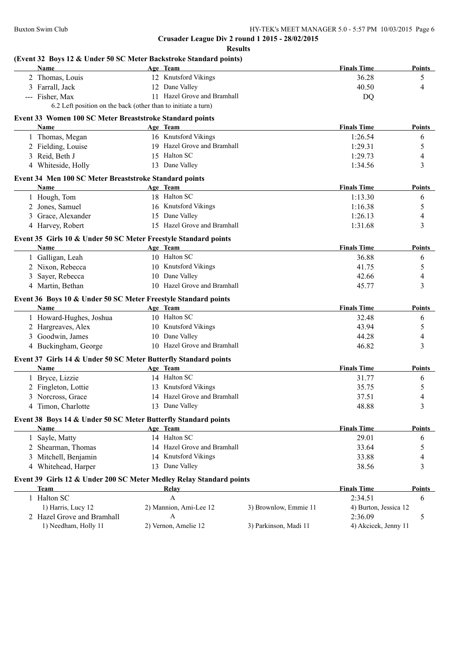**Results**

# **(Event 32 Boys 12 & Under 50 SC Meter Backstroke Standard points)**

| Name                                                                | Age Team                                                      |                       | <b>Finals Time</b>    | <b>Points</b> |
|---------------------------------------------------------------------|---------------------------------------------------------------|-----------------------|-----------------------|---------------|
| 2 Thomas, Louis                                                     | 12 Knutsford Vikings                                          |                       | 36.28                 | 5             |
| 3 Farrall, Jack                                                     | 12 Dane Valley                                                |                       | 40.50                 | 4             |
| --- Fisher, Max                                                     | 11 Hazel Grove and Bramhall                                   |                       | <b>DQ</b>             |               |
|                                                                     | 6.2 Left position on the back (other than to initiate a turn) |                       |                       |               |
| Event 33 Women 100 SC Meter Breaststroke Standard points            |                                                               |                       |                       |               |
| Name                                                                | Age Team                                                      |                       | <b>Finals Time</b>    | Points        |
| 1 Thomas, Megan                                                     | 16 Knutsford Vikings                                          |                       | 1:26.54               | 6             |
| 2 Fielding, Louise                                                  | 19 Hazel Grove and Bramhall                                   |                       | 1:29.31               | 5             |
| 3 Reid, Beth J                                                      | 15 Halton SC                                                  |                       | 1:29.73               | 4             |
| 4 Whiteside, Holly                                                  | 13 Dane Valley                                                |                       | 1:34.56               | 3             |
| Event 34 Men 100 SC Meter Breaststroke Standard points              |                                                               |                       |                       |               |
| Name                                                                | Age Team                                                      |                       | <b>Finals Time</b>    | <b>Points</b> |
| 1 Hough, Tom                                                        | 18 Halton SC                                                  |                       | 1:13.30               | 6             |
| 2 Jones, Samuel                                                     | 16 Knutsford Vikings                                          |                       | 1:16.38               | 5             |
| 3 Grace, Alexander                                                  | 15 Dane Valley                                                |                       | 1:26.13               | 4             |
| 4 Harvey, Robert                                                    | 15 Hazel Grove and Bramhall                                   |                       | 1:31.68               | 3             |
| Event 35 Girls 10 & Under 50 SC Meter Freestyle Standard points     |                                                               |                       |                       |               |
| Name                                                                | Age Team                                                      |                       | <b>Finals Time</b>    | <b>Points</b> |
| 1 Galligan, Leah                                                    | 10 Halton SC                                                  |                       | 36.88                 | 6             |
| 2 Nixon, Rebecca                                                    | 10 Knutsford Vikings                                          |                       | 41.75                 | 5             |
| 3 Sayer, Rebecca                                                    | 10 Dane Valley                                                |                       | 42.66                 | 4             |
| 4 Martin, Bethan                                                    | 10 Hazel Grove and Bramhall                                   |                       | 45.77                 | 3             |
| Event 36 Boys 10 & Under 50 SC Meter Freestyle Standard points      |                                                               |                       |                       |               |
| <b>Name</b>                                                         | Age Team                                                      |                       | <b>Finals Time</b>    | <b>Points</b> |
| 1 Howard-Hughes, Joshua                                             | 10 Halton SC                                                  |                       | 32.48                 | 6             |
| 2 Hargreaves, Alex                                                  | 10 Knutsford Vikings                                          |                       | 43.94                 | 5             |
| 3 Goodwin, James                                                    | 10 Dane Valley                                                |                       | 44.28                 | 4             |
| 4 Buckingham, George                                                | 10 Hazel Grove and Bramhall                                   |                       | 46.82                 | 3             |
| Event 37 Girls 14 & Under 50 SC Meter Butterfly Standard points     |                                                               |                       |                       |               |
| Name                                                                | Age Team                                                      |                       | <b>Finals Time</b>    | <b>Points</b> |
| 1 Bryce, Lizzie                                                     | 14 Halton SC                                                  |                       | 31.77                 | 6             |
| 2 Fingleton, Lottie                                                 | 13 Knutsford Vikings                                          |                       | 35.75                 | 5             |
| 3 Norcross, Grace                                                   | 14 Hazel Grove and Bramhall                                   |                       | 37.51                 | 4             |
| 4 Timon, Charlotte                                                  | 13 Dane Valley                                                |                       | 48.88                 | 3             |
| Event 38 Boys 14 & Under 50 SC Meter Butterfly Standard points      |                                                               |                       |                       |               |
| Name                                                                | Age Team                                                      |                       | <b>Finals Time</b>    | Points        |
| 1 Sayle, Matty                                                      | 14 Halton SC                                                  |                       | 29.01                 | 6             |
| 2 Shearman, Thomas                                                  | 14 Hazel Grove and Bramhall                                   |                       | 33.64                 | 5             |
| 3 Mitchell, Benjamin                                                | 14 Knutsford Vikings                                          |                       | 33.88                 | 4             |
| 4 Whitehead, Harper                                                 | 13 Dane Valley                                                |                       | 38.56                 | 3             |
| Event 39 Girls 12 & Under 200 SC Meter Medley Relay Standard points |                                                               |                       |                       |               |
| <b>Team</b>                                                         | Relay                                                         |                       | <b>Finals Time</b>    | <b>Points</b> |
| 1 Halton SC                                                         | A                                                             |                       | 2:34.51               | 6             |
| 1) Harris, Lucy 12                                                  | 2) Mannion, Ami-Lee 12                                        | 3) Brownlow, Emmie 11 | 4) Burton, Jessica 12 |               |
| 2 Hazel Grove and Bramhall                                          | A                                                             |                       | 2:36.09               | 5             |
| 1) Needham, Holly 11                                                | 2) Vernon, Amelie 12                                          | 3) Parkinson, Madi 11 | 4) Akcicek, Jenny 11  |               |
|                                                                     |                                                               |                       |                       |               |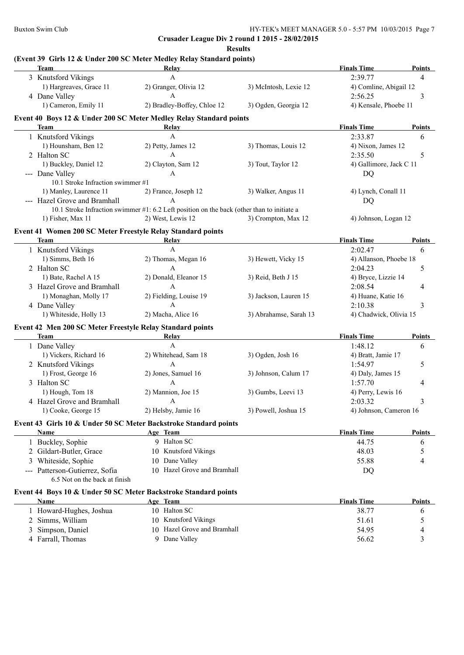|   | <b>Team</b>                                                     | Relay                                                                                      |                        | <b>Finals Time</b>      | Points        |
|---|-----------------------------------------------------------------|--------------------------------------------------------------------------------------------|------------------------|-------------------------|---------------|
|   | 3 Knutsford Vikings                                             | $\mathbf{A}$                                                                               |                        | 2:39.77                 | 4             |
|   | 1) Hargreaves, Grace 11                                         | 2) Granger, Olivia 12                                                                      | 3) McIntosh, Lexie 12  | 4) Comline, Abigail 12  |               |
|   | 4 Dane Valley                                                   | A                                                                                          |                        | 2:56.25                 | 3             |
|   | 1) Cameron, Emily 11                                            | 2) Bradley-Boffey, Chloe 12                                                                | 3) Ogden, Georgia 12   | 4) Kensale, Phoebe 11   |               |
|   |                                                                 | Event 40 Boys 12 & Under 200 SC Meter Medley Relay Standard points                         |                        |                         |               |
|   | <b>Team</b>                                                     | Relay                                                                                      |                        | <b>Finals Time</b>      | Points        |
|   | 1 Knutsford Vikings                                             | A                                                                                          |                        | 2:33.87                 | 6             |
|   | 1) Hounsham, Ben 12                                             | 2) Petty, James 12                                                                         | 3) Thomas, Louis 12    | 4) Nixon, James 12      |               |
|   | 2 Halton SC                                                     | A                                                                                          |                        | 2:35.50                 | 5             |
|   | 1) Buckley, Daniel 12                                           | 2) Clayton, Sam 12                                                                         | 3) Tout, Taylor 12     | 4) Gallimore, Jack C 11 |               |
|   | --- Dane Valley                                                 | A                                                                                          |                        | DQ                      |               |
|   | 10.1 Stroke Infraction swimmer #1                               |                                                                                            |                        |                         |               |
|   | 1) Manley, Laurence 11                                          | 2) France, Joseph 12                                                                       | 3) Walker, Angus 11    | 4) Lynch, Conall 11     |               |
|   | --- Hazel Grove and Bramhall                                    | $\mathsf{A}$                                                                               |                        | <b>DQ</b>               |               |
|   |                                                                 | 10.1 Stroke Infraction swimmer #1: 6.2 Left position on the back (other than to initiate a |                        |                         |               |
|   | 1) Fisher, Max 11                                               | 2) West, Lewis 12                                                                          | 3) Crompton, Max 12    | 4) Johnson, Logan 12    |               |
|   |                                                                 |                                                                                            |                        |                         |               |
|   | Event 41 Women 200 SC Meter Freestyle Relay Standard points     |                                                                                            |                        |                         |               |
|   | <b>Team</b>                                                     | Relay                                                                                      |                        | <b>Finals Time</b>      | Points        |
|   | 1 Knutsford Vikings                                             | $\mathbf{A}$                                                                               |                        | 2:02.47                 | 6             |
|   | 1) Simms, Beth 16                                               | 2) Thomas, Megan 16                                                                        | 3) Hewett, Vicky 15    | 4) Allanson, Phoebe 18  |               |
|   | 2 Halton SC                                                     | A                                                                                          |                        | 2:04.23                 | 5             |
|   | 1) Bate, Rachel A 15                                            | 2) Donald, Eleanor 15                                                                      | 3) Reid, Beth J 15     | 4) Bryce, Lizzie 14     |               |
|   | 3 Hazel Grove and Bramhall                                      | A                                                                                          |                        | 2:08.54                 | 4             |
|   | 1) Monaghan, Molly 17                                           | 2) Fielding, Louise 19                                                                     | 3) Jackson, Lauren 15  | 4) Huane, Katie 16      |               |
|   | 4 Dane Valley                                                   | A                                                                                          |                        | 2:10.38                 | 3             |
|   | 1) Whiteside, Holly 13                                          | 2) Macha, Alice 16                                                                         | 3) Abrahamse, Sarah 13 | 4) Chadwick, Olivia 15  |               |
|   | Event 42 Men 200 SC Meter Freestyle Relay Standard points       |                                                                                            |                        |                         |               |
|   | <b>Team</b>                                                     | <b>Relay</b>                                                                               |                        | <b>Finals Time</b>      | <b>Points</b> |
|   | 1 Dane Valley                                                   | $\mathbf{A}$                                                                               |                        | 1:48.12                 | 6             |
|   | 1) Vickers, Richard 16                                          | 2) Whitehead, Sam 18                                                                       | 3) Ogden, Josh 16      | 4) Bratt, Jamie 17      |               |
|   | 2 Knutsford Vikings                                             | $\mathbf{A}$                                                                               |                        | 1:54.97                 | 5             |
|   | 1) Frost, George 16                                             | 2) Jones, Samuel 16                                                                        | 3) Johnson, Calum 17   | 4) Daly, James 15       |               |
|   | 3 Halton SC                                                     | $\mathbf{A}$                                                                               |                        | 1:57.70                 | 4             |
|   | 1) Hough, Tom 18                                                | 2) Mannion, Joe 15                                                                         | 3) Gumbs, Leevi 13     | 4) Perry, Lewis 16      |               |
|   | 4 Hazel Grove and Bramhall                                      | A                                                                                          |                        | 2:03.32                 | 3             |
|   | 1) Cooke, George 15                                             | 2) Helsby, Jamie 16                                                                        | 3) Powell, Joshua 15   | 4) Johnson, Cameron 16  |               |
|   |                                                                 |                                                                                            |                        |                         |               |
|   | Name                                                            | Event 43 Girls 10 & Under 50 SC Meter Backstroke Standard points                           |                        |                         |               |
|   |                                                                 | Age Team<br>9 Halton SC                                                                    |                        | <b>Finals Time</b>      | <b>Points</b> |
|   | 1 Buckley, Sophie                                               |                                                                                            |                        | 44.75                   | 6             |
|   | 2 Gildart-Butler, Grace                                         | 10 Knutsford Vikings                                                                       |                        | 48.03                   | 5             |
|   | 3 Whiteside, Sophie                                             | 10 Dane Valley                                                                             |                        | 55.88                   | 4             |
|   | --- Patterson-Gutierrez, Sofia<br>6.5 Not on the back at finish | 10 Hazel Grove and Bramhall                                                                |                        | DQ                      |               |
|   |                                                                 | Event 44 Boys 10 & Under 50 SC Meter Backstroke Standard points                            |                        |                         |               |
|   | Name                                                            | Age Team                                                                                   |                        | <b>Finals Time</b>      | Points        |
|   | 1 Howard-Hughes, Joshua                                         | 10 Halton SC                                                                               |                        | 38.77                   | 6             |
|   | 2 Simms, William                                                | 10 Knutsford Vikings                                                                       |                        | 51.61                   | 5             |
| 3 | Simpson, Daniel                                                 | 10 Hazel Grove and Bramhall                                                                |                        | 54.95                   | 4             |
|   | 4 Farrall, Thomas                                               | 9 Dane Valley                                                                              |                        | 56.62                   | 3             |
|   |                                                                 |                                                                                            |                        |                         |               |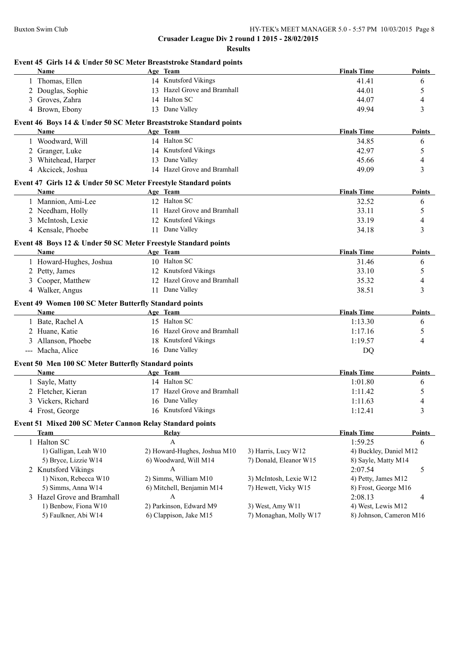| Event 45 Girls 14 & Under 50 SC Meter Breaststroke Standard points<br><b>Name</b> | Age Team                     |                                            | <b>Finals Time</b>     | Points        |
|-----------------------------------------------------------------------------------|------------------------------|--------------------------------------------|------------------------|---------------|
| 1 Thomas, Ellen                                                                   | 14 Knutsford Vikings         |                                            | 41.41                  | 6             |
|                                                                                   | 13 Hazel Grove and Bramhall  |                                            | 44.01                  |               |
| 2 Douglas, Sophie                                                                 | 14 Halton SC                 |                                            |                        | 5             |
| 3 Groves, Zahra                                                                   |                              |                                            | 44.07                  | 4             |
| 4 Brown, Ebony                                                                    | 13 Dane Valley               |                                            | 49.94                  | 3             |
| Event 46 Boys 14 & Under 50 SC Meter Breaststroke Standard points                 |                              |                                            |                        |               |
| Name                                                                              | Age Team                     |                                            | <b>Finals Time</b>     | Points        |
| 1 Woodward, Will                                                                  | 14 Halton SC                 |                                            | 34.85                  | 6             |
| 2 Granger, Luke                                                                   | 14 Knutsford Vikings         |                                            | 42.97                  | 5             |
| 3 Whitehead, Harper                                                               | 13 Dane Valley               |                                            | 45.66                  | 4             |
| 4 Akcicek, Joshua                                                                 | 14 Hazel Grove and Bramhall  |                                            | 49.09                  | 3             |
| Event 47 Girls 12 & Under 50 SC Meter Freestyle Standard points                   |                              |                                            |                        |               |
| <b>Name</b>                                                                       | Age Team                     |                                            | <b>Finals Time</b>     | Points        |
| 1 Mannion, Ami-Lee                                                                | 12 Halton SC                 |                                            | 32.52                  | 6             |
| 2 Needham, Holly                                                                  | 11 Hazel Grove and Bramhall  |                                            | 33.11                  | 5             |
| 3 McIntosh, Lexie                                                                 | 12 Knutsford Vikings         |                                            | 33.19                  | 4             |
| 4 Kensale, Phoebe                                                                 | 11 Dane Valley               |                                            | 34.18                  | 3             |
| Event 48 Boys 12 & Under 50 SC Meter Freestyle Standard points                    |                              |                                            |                        |               |
| Name                                                                              | Age Team                     |                                            | <b>Finals Time</b>     | Points        |
| 1 Howard-Hughes, Joshua                                                           | 10 Halton SC                 |                                            | 31.46                  | 6             |
| 2 Petty, James                                                                    | 12 Knutsford Vikings         |                                            | 33.10                  | 5             |
| 3 Cooper, Matthew                                                                 | 12 Hazel Grove and Bramhall  |                                            | 35.32                  | 4             |
| 4 Walker, Angus                                                                   | 11 Dane Valley               |                                            | 38.51                  | 3             |
| Event 49 Women 100 SC Meter Butterfly Standard points                             |                              |                                            |                        |               |
| Name                                                                              | Age Team                     |                                            | <b>Finals Time</b>     | <b>Points</b> |
| 1 Bate, Rachel A                                                                  | 15 Halton SC                 |                                            | 1:13.30                | 6             |
| 2 Huane, Katie                                                                    | 16 Hazel Grove and Bramhall  |                                            | 1:17.16                | 5             |
| 3 Allanson, Phoebe                                                                | 18 Knutsford Vikings         |                                            | 1:19.57                | 4             |
| --- Macha, Alice                                                                  | 16 Dane Valley               |                                            | <b>DQ</b>              |               |
| Event 50 Men 100 SC Meter Butterfly Standard points                               |                              |                                            |                        |               |
| Name                                                                              | Age Team                     |                                            | <b>Finals Time</b>     | Points        |
| 1 Sayle, Matty                                                                    | 14 Halton SC                 |                                            | 1:01.80                | 6             |
| 2 Fletcher, Kieran                                                                | 17 Hazel Grove and Bramhall  |                                            | 1:11.42                | 5             |
| 3 Vickers, Richard                                                                | 16 Dane Valley               |                                            | 1:11.63                | 4             |
| 4 Frost, George                                                                   | 16 Knutsford Vikings         |                                            | 1:12.41                | 3             |
|                                                                                   |                              |                                            |                        |               |
| Event 51 Mixed 200 SC Meter Cannon Relay Standard points<br><b>Team</b>           | Relay                        |                                            | <b>Finals Time</b>     | <b>Points</b> |
| 1 Halton SC                                                                       | A                            |                                            | 1:59.25                |               |
|                                                                                   |                              |                                            |                        | 6             |
| 1) Galligan, Leah W10                                                             | 2) Howard-Hughes, Joshua M10 | 3) Harris, Lucy W12                        | 4) Buckley, Daniel M12 |               |
| 5) Bryce, Lizzie W14                                                              | 6) Woodward, Will M14        | 7) Donald, Eleanor W15                     | 8) Sayle, Matty M14    |               |
| 2 Knutsford Vikings                                                               | A                            |                                            | 2:07.54                | 5             |
| 1) Nixon, Rebecca W10                                                             | 2) Simms, William M10        | 3) McIntosh, Lexie W12                     | 4) Petty, James M12    |               |
| 5) Simms, Anna W14                                                                | 6) Mitchell, Benjamin M14    | 7) Hewett, Vicky W15                       | 8) Frost, George M16   |               |
| 3 Hazel Grove and Bramhall                                                        | A                            |                                            | 2:08.13                | 4             |
| 1) Benbow, Fiona W10                                                              | 2) Parkinson, Edward M9      | 3) West, Amy W11<br>7) Monaghan, Molly W17 | 4) West, Lewis M12     |               |
| 5) Faulkner, Abi W14                                                              | 6) Clappison, Jake M15       | 8) Johnson, Cameron M16                    |                        |               |